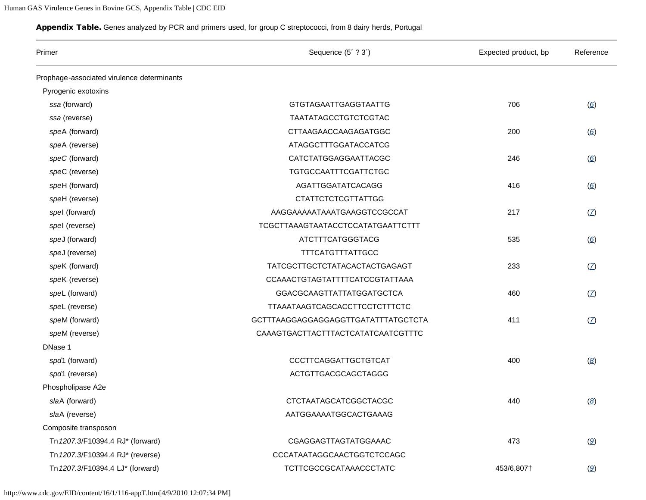## <span id="page-0-0"></span>Appendix Table. Genes analyzed by PCR and primers used, for group C streptococci, from 8 dairy herds, Portugal

| Primer                                     | Sequence (5'?3')                    | Expected product, bp | Reference                      |
|--------------------------------------------|-------------------------------------|----------------------|--------------------------------|
| Prophage-associated virulence determinants |                                     |                      |                                |
| Pyrogenic exotoxins                        |                                     |                      |                                |
| ssa (forward)                              | <b>GTGTAGAATTGAGGTAATTG</b>         | 706                  | $\circ$                        |
| ssa (reverse)                              | TAATATAGCCTGTCTCGTAC                |                      |                                |
| speA (forward)                             | CTTAAGAACCAAGAGATGGC                | 200                  | $\circ$                        |
| speA (reverse)                             | ATAGGCTTTGGATACCATCG                |                      |                                |
| speC (forward)                             | CATCTATGGAGGAATTACGC                | 246                  | $\circ$                        |
| speC (reverse)                             | <b>TGTGCCAATTTCGATTCTGC</b>         |                      |                                |
| speH (forward)                             | AGATTGGATATCACAGG                   | 416                  | $\circ$                        |
| speH (reverse)                             | <b>CTATTCTCTCGTTATTGG</b>           |                      |                                |
| spel (forward)                             | AAGGAAAAATAAATGAAGGTCCGCCAT         | 217                  | $\mathcal{I}$                  |
| spel (reverse)                             | TCGCTTAAAGTAATACCTCCATATGAATTCTTT   |                      |                                |
| speJ (forward)                             | <b>ATCTTTCATGGGTACG</b>             | 535                  | $\circ$                        |
| speJ (reverse)                             | <b>TTTCATGTTTATTGCC</b>             |                      |                                |
| speK (forward)                             | TATCGCTTGCTCTATACACTACTGAGAGT       | 233                  | $\mathcal{I}$                  |
| speK (reverse)                             | CCAAACTGTAGTATTTTCATCCGTATTAAA      |                      |                                |
| speL (forward)                             | <b>GGACGCAAGTTATTATGGATGCTCA</b>    | 460                  | $\mathcal{I}$                  |
| speL (reverse)                             | TTAAATAAGTCAGCACCTTCCTCTTTCTC       |                      |                                |
| speM (forward)                             | GCTTTAAGGAGGAGGAGGTTGATATTTATGCTCTA | 411                  | $\mathcal{Z}$                  |
| speM (reverse)                             | CAAAGTGACTTACTTTACTCATATCAATCGTTTC  |                      |                                |
| DNase 1                                    |                                     |                      |                                |
| spd1 (forward)                             | CCCTTCAGGATTGCTGTCAT                | 400                  | $\left( \underline{8} \right)$ |
| spd1 (reverse)                             | ACTGTTGACGCAGCTAGGG                 |                      |                                |
| Phospholipase A2e                          |                                     |                      |                                |
| slaA (forward)                             | CTCTAATAGCATCGGCTACGC               | 440                  | $\left(\underline{8}\right)$   |
| slaA (reverse)                             | AATGGAAAATGGCACTGAAAG               |                      |                                |
| Composite transposon                       |                                     |                      |                                |
| Tn 1207.3/F10394.4 RJ* (forward)           | CGAGGAGTTAGTATGGAAAC                | 473                  | $\mathcal{Q}$                  |
| Tn 1207.3/F10394.4 RJ* (reverse)           | CCCATAATAGGCAACTGGTCTCCAGC          |                      |                                |
| Tn 1207.3/F10394.4 LJ* (forward)           | TCTTCGCCGCATAAACCCTATC              | 453/6,807†           | $\mathcal{Q}$                  |

http://www.cdc.gov/EID/content/16/1/116-appT.htm[4/9/2010 12:07:34 PM]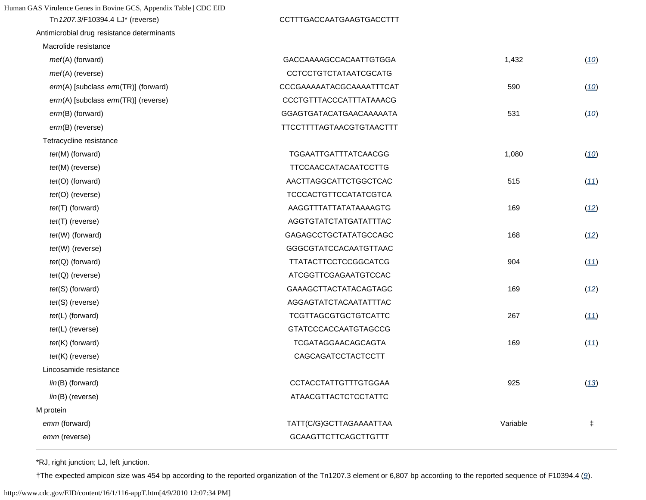Tn 1207.3/F10394.4 LJ\* (reverse) Antimicrobial drug resistance determinants

| Macrolide resistance                |                              |          |            |
|-------------------------------------|------------------------------|----------|------------|
| mef(A) (forward)                    | GACCAAAAGCCACAATTGTGGA       | 1,432    | (10)       |
| mef(A) (reverse)                    | <b>CCTCCTGTCTATAATCGCATG</b> |          |            |
| erm(A) [subclass erm(TR)] (forward) | CCCGAAAAATACGCAAAATTTCAT     | 590      | (10)       |
| erm(A) [subclass erm(TR)] (reverse) | CCCTGTTTACCCATTTATAAACG      |          |            |
| erm(B) (forward)                    | GGAGTGATACATGAACAAAAATA      | 531      | (10)       |
| erm(B) (reverse)                    | TTCCTTTTAGTAACGTGTAACTTT     |          |            |
| Tetracycline resistance             |                              |          |            |
| tet(M) (forward)                    | TGGAATTGATTTATCAACGG         | 1,080    | (10)       |
| tet(M) (reverse)                    | <b>TTCCAACCATACAATCCTTG</b>  |          |            |
| $tet(O)$ (forward)                  | AACTTAGGCATTCTGGCTCAC        | 515      | (11)       |
| $tet(O)$ (reverse)                  | <b>TCCCACTGTTCCATATCGTCA</b> |          |            |
| $tet(T)$ (forward)                  | AAGGTTTATTATATAAAAGTG        | 169      | (12)       |
| $tet(T)$ (reverse)                  | AGGTGTATCTATGATATTTAC        |          |            |
| tet(W) (forward)                    | GAGAGCCTGCTATATGCCAGC        | 168      | (12)       |
| tet(W) (reverse)                    | GGGCGTATCCACAATGTTAAC        |          |            |
| $tet(Q)$ (forward)                  | TTATACTTCCTCCGGCATCG         | 904      | (11)       |
| $tet(Q)$ (reverse)                  | ATCGGTTCGAGAATGTCCAC         |          |            |
| $tet(S)$ (forward)                  | GAAAGCTTACTATACAGTAGC        | 169      | (12)       |
| $tet(S)$ (reverse)                  | AGGAGTATCTACAATATTTAC        |          |            |
| $tet(L)$ (forward)                  | <b>TCGTTAGCGTGCTGTCATTC</b>  | 267      | (11)       |
| $tet(L)$ (reverse)                  | <b>GTATCCCACCAATGTAGCCG</b>  |          |            |
| $tet(K)$ (forward)                  | TCGATAGGAACAGCAGTA           | 169      | (11)       |
| $tet(K)$ (reverse)                  | CAGCAGATCCTACTCCTT           |          |            |
| Lincosamide resistance              |                              |          |            |
| $lin(B)$ (forward)                  | <b>CCTACCTATTGTTTGTGGAA</b>  | 925      | (13)       |
| $lin(B)$ (reverse)                  | <b>ATAACGTTACTCTCCTATTC</b>  |          |            |
| M protein                           |                              |          |            |
| emm (forward)                       | TATT(C/G)GCTTAGAAAATTAA      | Variable | $\ddagger$ |
| emm (reverse)                       | <b>GCAAGTTCTTCAGCTTGTTT</b>  |          |            |
|                                     |                              |          |            |

\*RJ, right junction; LJ, left junction.

†The expected ampicon size was 454 bp according to the reported organization of the Tn1207.3 element or 6,807 bp according to the reported sequence of F10394.4 (*[9](#page-0-0)*).